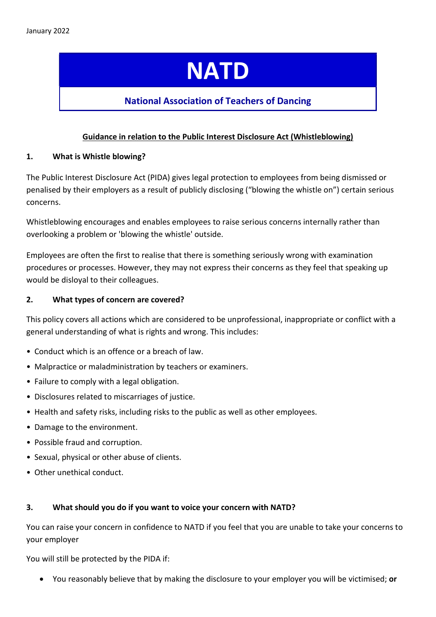# NATD

## National Association of Teachers of Dancing

### Guidance in relation to the Public Interest Disclosure Act (Whistleblowing)

#### 1. What is Whistle blowing?

The Public Interest Disclosure Act (PIDA) gives legal protection to employees from being dismissed or penalised by their employers as a result of publicly disclosing ("blowing the whistle on") certain serious concerns.

Whistleblowing encourages and enables employees to raise serious concerns internally rather than overlooking a problem or 'blowing the whistle' outside.

Employees are often the first to realise that there is something seriously wrong with examination procedures or processes. However, they may not express their concerns as they feel that speaking up would be disloyal to their colleagues.

#### 2. What types of concern are covered?

This policy covers all actions which are considered to be unprofessional, inappropriate or conflict with a general understanding of what is rights and wrong. This includes:

- Conduct which is an offence or a breach of law.
- Malpractice or maladministration by teachers or examiners.
- Failure to comply with a legal obligation.
- Disclosures related to miscarriages of justice.
- Health and safety risks, including risks to the public as well as other employees.
- Damage to the environment.
- Possible fraud and corruption.
- Sexual, physical or other abuse of clients.
- Other unethical conduct.

#### 3. What should you do if you want to voice your concern with NATD?

You can raise your concern in confidence to NATD if you feel that you are unable to take your concerns to your employer

You will still be protected by the PIDA if:

• You reasonably believe that by making the disclosure to your employer you will be victimised; or